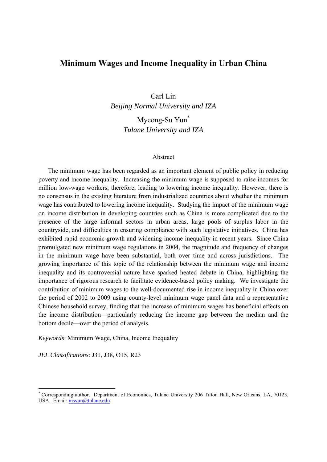# **Minimum Wages and Income Inequality in Urban China**

Carl Lin *Beijing Normal University and IZA* 

> Myeong-Su Yun\* *Tulane University and IZA*

#### Abstract

The minimum wage has been regarded as an important element of public policy in reducing poverty and income inequality. Increasing the minimum wage is supposed to raise incomes for million low-wage workers, therefore, leading to lowering income inequality. However, there is no consensus in the existing literature from industrialized countries about whether the minimum wage has contributed to lowering income inequality. Studying the impact of the minimum wage on income distribution in developing countries such as China is more complicated due to the presence of the large informal sectors in urban areas, large pools of surplus labor in the countryside, and difficulties in ensuring compliance with such legislative initiatives. China has exhibited rapid economic growth and widening income inequality in recent years. Since China promulgated new minimum wage regulations in 2004, the magnitude and frequency of changes in the minimum wage have been substantial, both over time and across jurisdictions. The growing importance of this topic of the relationship between the minimum wage and income inequality and its controversial nature have sparked heated debate in China, highlighting the importance of rigorous research to facilitate evidence-based policy making. We investigate the contribution of minimum wages to the well-documented rise in income inequality in China over the period of 2002 to 2009 using county-level minimum wage panel data and a representative Chinese household survey, finding that the increase of minimum wages has beneficial effects on the income distribution—particularly reducing the income gap between the median and the bottom decile—over the period of analysis.

*Keywords*: Minimum Wage, China, Income Inequality

*JEL Classifications*: J31, J38, O15, R23

-

<sup>\*</sup> Corresponding author. Department of Economics, Tulane University 206 Tilton Hall, New Orleans, LA, 70123, USA. Email: msyun@tulane.edu.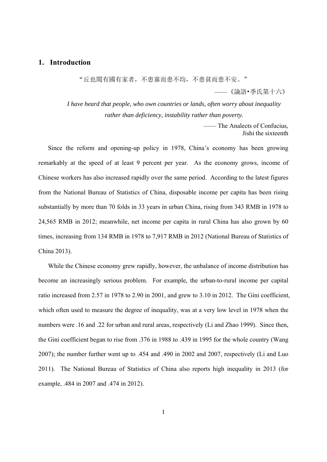## **1. Introduction**

"丘也聞有國有家者,不患寡而患不均,不患貧而患不安。"

——《論語•季氏第十六》

*I have heard that people, who own countries or lands, often worry about inequality rather than deficiency, instability rather than poverty.* 

> —— The Analects of Confucius, Jishi the sixteenth

Since the reform and opening-up policy in 1978, China's economy has been growing remarkably at the speed of at least 9 percent per year. As the economy grows, income of Chinese workers has also increased rapidly over the same period. According to the latest figures from the National Bureau of Statistics of China, disposable income per capita has been rising substantially by more than 70 folds in 33 years in urban China, rising from 343 RMB in 1978 to 24,565 RMB in 2012; meanwhile, net income per capita in rural China has also grown by 60 times, increasing from 134 RMB in 1978 to 7,917 RMB in 2012 (National Bureau of Statistics of China 2013).

While the Chinese economy grew rapidly, however, the unbalance of income distribution has become an increasingly serious problem. For example, the urban-to-rural income per capital ratio increased from 2.57 in 1978 to 2.90 in 2001, and grew to 3.10 in 2012. The Gini coefficient, which often used to measure the degree of inequality, was at a very low level in 1978 when the numbers were .16 and .22 for urban and rural areas, respectively (Li and Zhao 1999). Since then, the Gini coefficient began to rise from .376 in 1988 to .439 in 1995 for the whole country (Wang 2007); the number further went up to .454 and .490 in 2002 and 2007, respectively (Li and Luo 2011). The National Bureau of Statistics of China also reports high inequality in 2013 (for example, .484 in 2007 and .474 in 2012).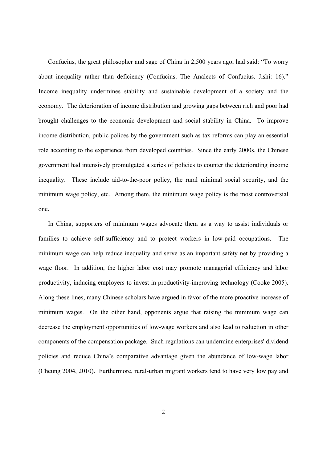Confucius, the great philosopher and sage of China in 2,500 years ago, had said: "To worry about inequality rather than deficiency (Confucius. The Analects of Confucius. Jishi: 16)." Income inequality undermines stability and sustainable development of a society and the economy. The deterioration of income distribution and growing gaps between rich and poor had brought challenges to the economic development and social stability in China. To improve income distribution, public polices by the government such as tax reforms can play an essential role according to the experience from developed countries. Since the early 2000s, the Chinese government had intensively promulgated a series of policies to counter the deteriorating income inequality. These include aid-to-the-poor policy, the rural minimal social security, and the minimum wage policy, etc. Among them, the minimum wage policy is the most controversial one.

In China, supporters of minimum wages advocate them as a way to assist individuals or families to achieve self-sufficiency and to protect workers in low-paid occupations. The minimum wage can help reduce inequality and serve as an important safety net by providing a wage floor. In addition, the higher labor cost may promote managerial efficiency and labor productivity, inducing employers to invest in productivity-improving technology (Cooke 2005). Along these lines, many Chinese scholars have argued in favor of the more proactive increase of minimum wages. On the other hand, opponents argue that raising the minimum wage can decrease the employment opportunities of low-wage workers and also lead to reduction in other components of the compensation package. Such regulations can undermine enterprises' dividend policies and reduce China's comparative advantage given the abundance of low-wage labor (Cheung 2004, 2010). Furthermore, rural-urban migrant workers tend to have very low pay and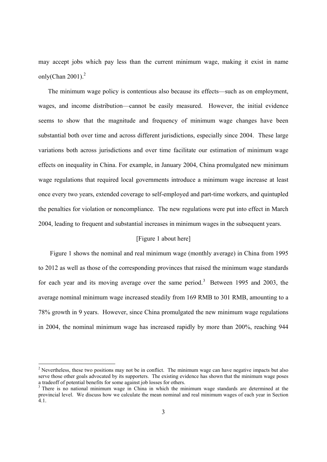may accept jobs which pay less than the current minimum wage, making it exist in name only(Chan  $2001$ ).<sup>2</sup>

The minimum wage policy is contentious also because its effects—such as on employment, wages, and income distribution—cannot be easily measured. However, the initial evidence seems to show that the magnitude and frequency of minimum wage changes have been substantial both over time and across different jurisdictions, especially since 2004. These large variations both across jurisdictions and over time facilitate our estimation of minimum wage effects on inequality in China. For example, in January 2004, China promulgated new minimum wage regulations that required local governments introduce a minimum wage increase at least once every two years, extended coverage to self-employed and part-time workers, and quintupled the penalties for violation or noncompliance. The new regulations were put into effect in March 2004, leading to frequent and substantial increases in minimum wages in the subsequent years.

### [Figure 1 about here]

Figure 1 shows the nominal and real minimum wage (monthly average) in China from 1995 to 2012 as well as those of the corresponding provinces that raised the minimum wage standards for each year and its moving average over the same period.<sup>3</sup> Between 1995 and 2003, the average nominal minimum wage increased steadily from 169 RMB to 301 RMB, amounting to a 78% growth in 9 years. However, since China promulgated the new minimum wage regulations in 2004, the nominal minimum wage has increased rapidly by more than 200%, reaching 944

-

<sup>&</sup>lt;sup>2</sup> Nevertheless, these two positions may not be in conflict. The minimum wage can have negative impacts but also serve those other goals advocated by its supporters. The existing evidence has shown that the minimum wage poses a tradeoff of potential benefits for some against job losses for others.

<sup>&</sup>lt;sup>3</sup> There is no national minimum wage in China in which the minimum wage standards are determined at the provincial level. We discuss how we calculate the mean nominal and real minimum wages of each year in Section 4.1.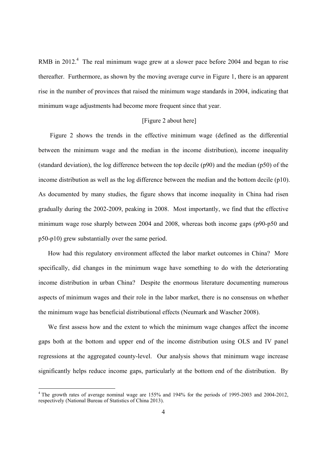RMB in 2012. $4$  The real minimum wage grew at a slower pace before 2004 and began to rise thereafter. Furthermore, as shown by the moving average curve in Figure 1, there is an apparent rise in the number of provinces that raised the minimum wage standards in 2004, indicating that minimum wage adjustments had become more frequent since that year.

#### [Figure 2 about here]

Figure 2 shows the trends in the effective minimum wage (defined as the differential between the minimum wage and the median in the income distribution), income inequality (standard deviation), the log difference between the top decile (p90) and the median (p50) of the income distribution as well as the log difference between the median and the bottom decile (p10). As documented by many studies, the figure shows that income inequality in China had risen gradually during the 2002-2009, peaking in 2008. Most importantly, we find that the effective minimum wage rose sharply between 2004 and 2008, whereas both income gaps (p90-p50 and p50-p10) grew substantially over the same period.

How had this regulatory environment affected the labor market outcomes in China? More specifically, did changes in the minimum wage have something to do with the deteriorating income distribution in urban China? Despite the enormous literature documenting numerous aspects of minimum wages and their role in the labor market, there is no consensus on whether the minimum wage has beneficial distributional effects (Neumark and Wascher 2008).

We first assess how and the extent to which the minimum wage changes affect the income gaps both at the bottom and upper end of the income distribution using OLS and IV panel regressions at the aggregated county-level. Our analysis shows that minimum wage increase significantly helps reduce income gaps, particularly at the bottom end of the distribution. By

-

<sup>&</sup>lt;sup>4</sup> The growth rates of average nominal wage are 155% and 194% for the periods of 1995-2003 and 2004-2012, respectively (National Bureau of Statistics of China 2013).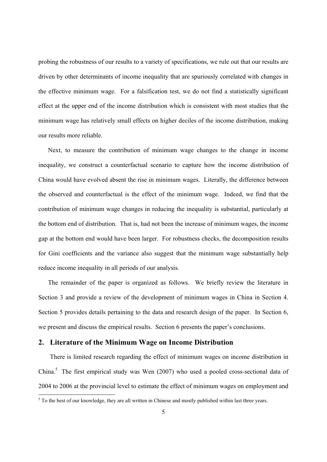probing the robustness of our results to a variety of specifications, we rule out that our results are driven by other determinants of income inequality that are spuriously correlated with changes in the effective minimum wage. For a falsification test, we do not find a statistically significant effect at the upper end of the income distribution which is consistent with most studies that the minimum wage has relatively small effects on higher deciles of the income distribution, making our results more reliable.

Next, to measure the contribution of minimum wage changes to the change in income inequality, we construct a counterfactual scenario to capture how the income distribution of China would have evolved absent the rise in minimum wages. Literally, the difference between the observed and counterfactual is the effect of the minimum wage. Indeed, we find that the contribution of minimum wage changes in reducing the inequality is substantial, particularly at the bottom end of distribution. That is, had not been the increase of minimum wages, the income gap at the bottom end would have been larger. For robustness checks, the decomposition results for Gini coefficients and the variance also suggest that the minimum wage substantially help reduce income inequality in all periods of our analysis.

The remainder of the paper is organized as follows. We briefly review the literature in Section 3 and provide a review of the development of minimum wages in China in Section 4. Section 5 provides details pertaining to the data and research design of the paper. In Section 6, we present and discuss the empirical results. Section 6 presents the paper's conclusions.

## **2. Literature of the Minimum Wage on Income Distribution**

There is limited research regarding the effect of minimum wages on income distribution in China.<sup>5</sup> The first empirical study was Wen (2007) who used a pooled cross-sectional data of 2004 to 2006 at the provincial level to estimate the effect of minimum wages on employment and

<sup>&</sup>lt;sup>5</sup> To the best of our knowledge, they are all written in Chinese and mostly published within last three years.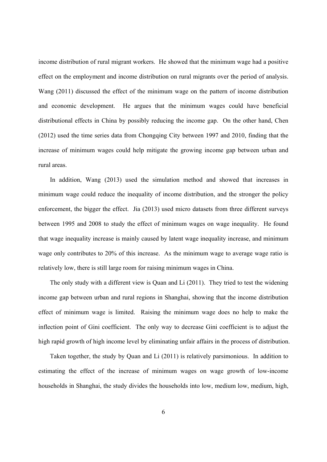income distribution of rural migrant workers. He showed that the minimum wage had a positive effect on the employment and income distribution on rural migrants over the period of analysis. Wang (2011) discussed the effect of the minimum wage on the pattern of income distribution and economic development. He argues that the minimum wages could have beneficial distributional effects in China by possibly reducing the income gap. On the other hand, Chen (2012) used the time series data from Chongqing City between 1997 and 2010, finding that the increase of minimum wages could help mitigate the growing income gap between urban and rural areas.

In addition, Wang (2013) used the simulation method and showed that increases in minimum wage could reduce the inequality of income distribution, and the stronger the policy enforcement, the bigger the effect. Jia (2013) used micro datasets from three different surveys between 1995 and 2008 to study the effect of minimum wages on wage inequality. He found that wage inequality increase is mainly caused by latent wage inequality increase, and minimum wage only contributes to 20% of this increase. As the minimum wage to average wage ratio is relatively low, there is still large room for raising minimum wages in China.

The only study with a different view is Quan and Li (2011). They tried to test the widening income gap between urban and rural regions in Shanghai, showing that the income distribution effect of minimum wage is limited. Raising the minimum wage does no help to make the inflection point of Gini coefficient. The only way to decrease Gini coefficient is to adjust the high rapid growth of high income level by eliminating unfair affairs in the process of distribution.

Taken together, the study by Quan and Li (2011) is relatively parsimonious. In addition to estimating the effect of the increase of minimum wages on wage growth of low-income households in Shanghai, the study divides the households into low, medium low, medium, high,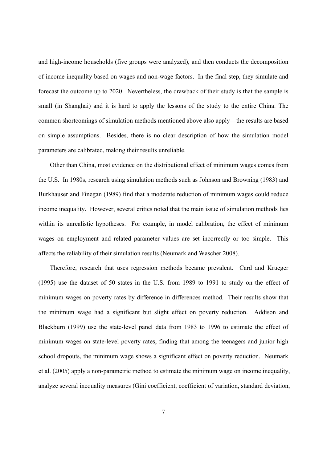and high-income households (five groups were analyzed), and then conducts the decomposition of income inequality based on wages and non-wage factors. In the final step, they simulate and forecast the outcome up to 2020. Nevertheless, the drawback of their study is that the sample is small (in Shanghai) and it is hard to apply the lessons of the study to the entire China. The common shortcomings of simulation methods mentioned above also apply—the results are based on simple assumptions. Besides, there is no clear description of how the simulation model parameters are calibrated, making their results unreliable.

Other than China, most evidence on the distributional effect of minimum wages comes from the U.S. In 1980s, research using simulation methods such as Johnson and Browning (1983) and Burkhauser and Finegan (1989) find that a moderate reduction of minimum wages could reduce income inequality. However, several critics noted that the main issue of simulation methods lies within its unrealistic hypotheses. For example, in model calibration, the effect of minimum wages on employment and related parameter values are set incorrectly or too simple. This affects the reliability of their simulation results (Neumark and Wascher 2008).

Therefore, research that uses regression methods became prevalent. Card and Krueger (1995) use the dataset of 50 states in the U.S. from 1989 to 1991 to study on the effect of minimum wages on poverty rates by difference in differences method. Their results show that the minimum wage had a significant but slight effect on poverty reduction. Addison and Blackburn (1999) use the state-level panel data from 1983 to 1996 to estimate the effect of minimum wages on state-level poverty rates, finding that among the teenagers and junior high school dropouts, the minimum wage shows a significant effect on poverty reduction. Neumark et al. (2005) apply a non-parametric method to estimate the minimum wage on income inequality, analyze several inequality measures (Gini coefficient, coefficient of variation, standard deviation,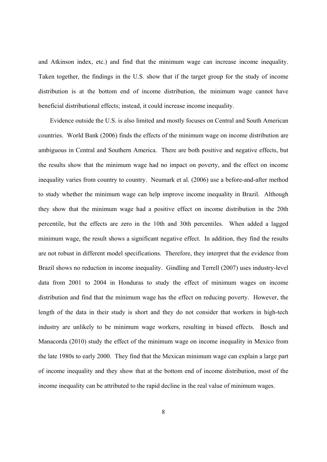and Atkinson index, etc.) and find that the minimum wage can increase income inequality. Taken together, the findings in the U.S. show that if the target group for the study of income distribution is at the bottom end of income distribution, the minimum wage cannot have beneficial distributional effects; instead, it could increase income inequality.

Evidence outside the U.S. is also limited and mostly focuses on Central and South American countries. World Bank (2006) finds the effects of the minimum wage on income distribution are ambiguous in Central and Southern America. There are both positive and negative effects, but the results show that the minimum wage had no impact on poverty, and the effect on income inequality varies from country to country. Neumark et al. (2006) use a before-and-after method to study whether the minimum wage can help improve income inequality in Brazil. Although they show that the minimum wage had a positive effect on income distribution in the 20th percentile, but the effects are zero in the 10th and 30th percentiles. When added a lagged minimum wage, the result shows a significant negative effect. In addition, they find the results are not robust in different model specifications. Therefore, they interpret that the evidence from Brazil shows no reduction in income inequality. Gindling and Terrell (2007) uses industry-level data from 2001 to 2004 in Honduras to study the effect of minimum wages on income distribution and find that the minimum wage has the effect on reducing poverty. However, the length of the data in their study is short and they do not consider that workers in high-tech industry are unlikely to be minimum wage workers, resulting in biased effects. Bosch and Manacorda (2010) study the effect of the minimum wage on income inequality in Mexico from the late 1980s to early 2000. They find that the Mexican minimum wage can explain a large part of income inequality and they show that at the bottom end of income distribution, most of the income inequality can be attributed to the rapid decline in the real value of minimum wages.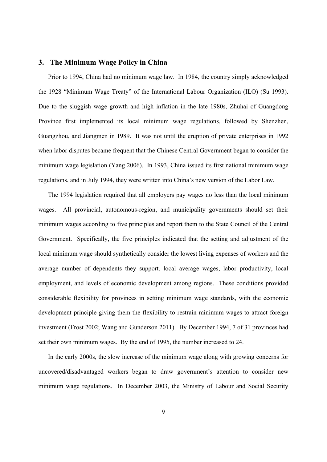## **3. The Minimum Wage Policy in China**

Prior to 1994, China had no minimum wage law. In 1984, the country simply acknowledged the 1928 "Minimum Wage Treaty" of the International Labour Organization (ILO) (Su 1993). Due to the sluggish wage growth and high inflation in the late 1980s, Zhuhai of Guangdong Province first implemented its local minimum wage regulations, followed by Shenzhen, Guangzhou, and Jiangmen in 1989. It was not until the eruption of private enterprises in 1992 when labor disputes became frequent that the Chinese Central Government began to consider the minimum wage legislation (Yang 2006). In 1993, China issued its first national minimum wage regulations, and in July 1994, they were written into China's new version of the Labor Law.

The 1994 legislation required that all employers pay wages no less than the local minimum wages. All provincial, autonomous-region, and municipality governments should set their minimum wages according to five principles and report them to the State Council of the Central Government. Specifically, the five principles indicated that the setting and adjustment of the local minimum wage should synthetically consider the lowest living expenses of workers and the average number of dependents they support, local average wages, labor productivity, local employment, and levels of economic development among regions. These conditions provided considerable flexibility for provinces in setting minimum wage standards, with the economic development principle giving them the flexibility to restrain minimum wages to attract foreign investment (Frost 2002; Wang and Gunderson 2011). By December 1994, 7 of 31 provinces had set their own minimum wages. By the end of 1995, the number increased to 24.

In the early 2000s, the slow increase of the minimum wage along with growing concerns for uncovered/disadvantaged workers began to draw government's attention to consider new minimum wage regulations. In December 2003, the Ministry of Labour and Social Security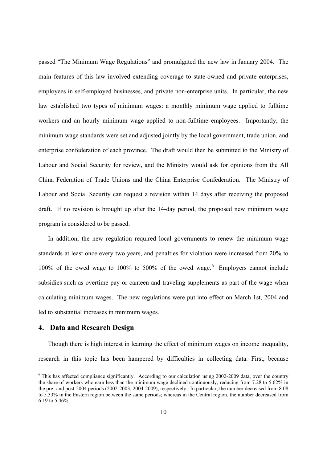passed "The Minimum Wage Regulations" and promulgated the new law in January 2004. The main features of this law involved extending coverage to state-owned and private enterprises, employees in self-employed businesses, and private non-enterprise units. In particular, the new law established two types of minimum wages: a monthly minimum wage applied to fulltime workers and an hourly minimum wage applied to non-fulltime employees. Importantly, the minimum wage standards were set and adjusted jointly by the local government, trade union, and enterprise confederation of each province. The draft would then be submitted to the Ministry of Labour and Social Security for review, and the Ministry would ask for opinions from the All China Federation of Trade Unions and the China Enterprise Confederation. The Ministry of Labour and Social Security can request a revision within 14 days after receiving the proposed draft. If no revision is brought up after the 14-day period, the proposed new minimum wage program is considered to be passed.

In addition, the new regulation required local governments to renew the minimum wage standards at least once every two years, and penalties for violation were increased from 20% to 100% of the owed wage to 100% to 500% of the owed wage.  $6$  Employers cannot include subsidies such as overtime pay or canteen and traveling supplements as part of the wage when calculating minimum wages. The new regulations were put into effect on March 1st, 2004 and led to substantial increases in minimum wages.

# **4. Data and Research Design**

-

Though there is high interest in learning the effect of minimum wages on income inequality, research in this topic has been hampered by difficulties in collecting data. First, because

 $6$  This has affected compliance significantly. According to our calculation using 2002-2009 data, over the country the share of workers who earn less than the minimum wage declined continuously, reducing from 7.28 to 5.62% in the pre- and post-2004 periods (2002-2003, 2004-2009), respectively. In particular, the number decreased from 8.08 to 5.33% in the Eastern region between the same periods; whereas in the Central region, the number decreased from 6.19 to 5.46%.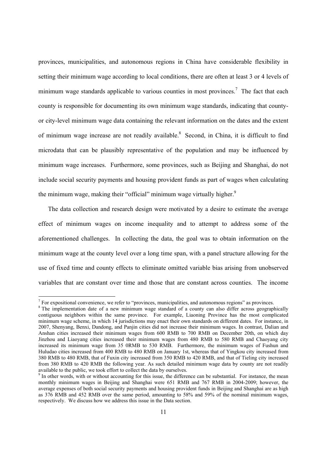provinces, municipalities, and autonomous regions in China have considerable flexibility in setting their minimum wage according to local conditions, there are often at least 3 or 4 levels of minimum wage standards applicable to various counties in most provinces.<sup>7</sup> The fact that each county is responsible for documenting its own minimum wage standards, indicating that countyor city-level minimum wage data containing the relevant information on the dates and the extent of minimum wage increase are not readily available.<sup>8</sup> Second, in China, it is difficult to find microdata that can be plausibly representative of the population and may be influenced by minimum wage increases. Furthermore, some provinces, such as Beijing and Shanghai, do not include social security payments and housing provident funds as part of wages when calculating the minimum wage, making their "official" minimum wage virtually higher.<sup>9</sup>

The data collection and research design were motivated by a desire to estimate the average effect of minimum wages on income inequality and to attempt to address some of the aforementioned challenges. In collecting the data, the goal was to obtain information on the minimum wage at the county level over a long time span, with a panel structure allowing for the use of fixed time and county effects to eliminate omitted variable bias arising from unobserved variables that are constant over time and those that are constant across counties. The income

-

 $^7$  For expositional convenience, we refer to "provinces, municipalities, and autonomous regions" as provinces.

<sup>&</sup>lt;sup>8</sup> The implementation date of a new minimum wage standard of a county can also differ across geographically contiguous neighbors within the same province. For example, Liaoning Province has the most complicated minimum wage scheme, in which 14 jurisdictions may enact their own standards on different dates. For instance, in 2007, Shenyang, Benxi, Dandong, and Panjin cities did not increase their minimum wages. In contrast, Dalian and Anshan cities increased their minimum wages from 600 RMB to 700 RMB on December 20th, on which day Jinzhou and Liaoyang cities increased their minimum wages from 480 RMB to 580 RMB and Chaoyang city increased its minimum wage from 35 0RMB to 530 RMB. Furthermore, the minimum wages of Fushun and Huludao cities increased from 400 RMB to 480 RMB on January 1st, whereas that of Yingkou city increased from 380 RMB to 480 RMB, that of Fuxin city increased from 350 RMB to 420 RMB, and that of Tieling city increased from 380 RMB to 420 RMB the following year. As such detailed minimum wage data by county are not readily available to the public, we took effort to collect the data by ourselves. 9

 $\degree$  In other words, with or without accounting for this issue, the difference can be substantial. For instance, the mean monthly minimum wages in Beijing and Shanghai were 651 RMB and 767 RMB in 2004-2009; however, the average expenses of both social security payments and housing provident funds in Beijing and Shanghai are as high as 376 RMB and 452 RMB over the same period, amounting to 58% and 59% of the nominal minimum wages, respectively. We discuss how we address this issue in the Data section.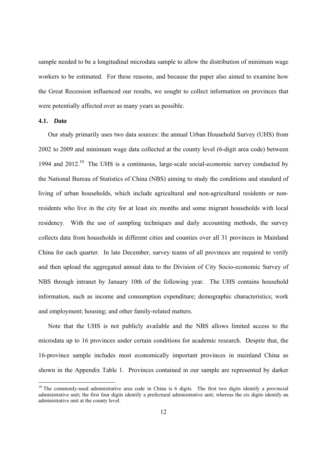sample needed to be a longitudinal microdata sample to allow the distribution of minimum wage workers to be estimated. For these reasons, and because the paper also aimed to examine how the Great Recession influenced our results, we sought to collect information on provinces that were potentially affected over as many years as possible.

#### **4.1.** *Data*

-

Our study primarily uses two data sources: the annual Urban Household Survey (UHS) from 2002 to 2009 and minimum wage data collected at the county level (6-digit area code) between 1994 and  $2012<sup>10</sup>$ . The UHS is a continuous, large-scale social-economic survey conducted by the National Bureau of Statistics of China (NBS) aiming to study the conditions and standard of living of urban households, which include agricultural and non-agricultural residents or nonresidents who live in the city for at least six months and some migrant households with local residency. With the use of sampling techniques and daily accounting methods, the survey collects data from households in different cities and counties over all 31 provinces in Mainland China for each quarter. In late December, survey teams of all provinces are required to verify and then upload the aggregated annual data to the Division of City Socio-economic Survey of NBS through intranet by January 10th of the following year. The UHS contains household information, such as income and consumption expenditure; demographic characteristics; work and employment; housing; and other family-related matters.

Note that the UHS is not publicly available and the NBS allows limited access to the microdata up to 16 provinces under certain conditions for academic research. Despite that, the 16-province sample includes most economically important provinces in mainland China as shown in the Appendix Table 1. Provinces contained in our sample are represented by darker

<sup>&</sup>lt;sup>10</sup> The commonly-used administrative area code in China is 6 digits. The first two digits identify a provincial administrative unit; the first four digits identify a prefectural administrative unit; whereas the six digits identify an administrative unit at the county level.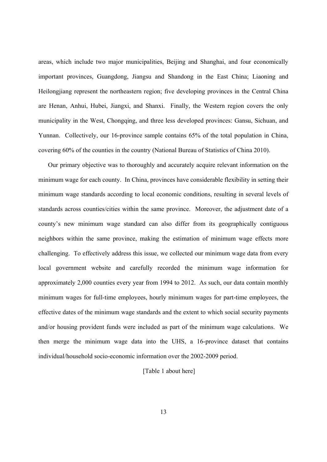areas, which include two major municipalities, Beijing and Shanghai, and four economically important provinces, Guangdong, Jiangsu and Shandong in the East China; Liaoning and Heilongjiang represent the northeastern region; five developing provinces in the Central China are Henan, Anhui, Hubei, Jiangxi, and Shanxi. Finally, the Western region covers the only municipality in the West, Chongqing, and three less developed provinces: Gansu, Sichuan, and Yunnan. Collectively, our 16-province sample contains 65% of the total population in China, covering 60% of the counties in the country (National Bureau of Statistics of China 2010).

Our primary objective was to thoroughly and accurately acquire relevant information on the minimum wage for each county. In China, provinces have considerable flexibility in setting their minimum wage standards according to local economic conditions, resulting in several levels of standards across counties/cities within the same province. Moreover, the adjustment date of a county's new minimum wage standard can also differ from its geographically contiguous neighbors within the same province, making the estimation of minimum wage effects more challenging. To effectively address this issue, we collected our minimum wage data from every local government website and carefully recorded the minimum wage information for approximately 2,000 counties every year from 1994 to 2012. As such, our data contain monthly minimum wages for full-time employees, hourly minimum wages for part-time employees, the effective dates of the minimum wage standards and the extent to which social security payments and/or housing provident funds were included as part of the minimum wage calculations. We then merge the minimum wage data into the UHS, a 16-province dataset that contains individual/household socio-economic information over the 2002-2009 period.

#### [Table 1 about here]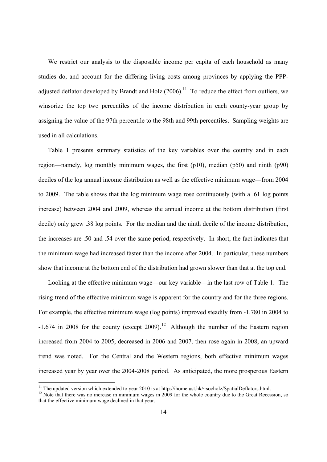We restrict our analysis to the disposable income per capita of each household as many studies do, and account for the differing living costs among provinces by applying the PPPadjusted deflator developed by Brandt and Holz  $(2006).$ <sup>11</sup> To reduce the effect from outliers, we winsorize the top two percentiles of the income distribution in each county-year group by assigning the value of the 97th percentile to the 98th and 99th percentiles. Sampling weights are used in all calculations.

Table 1 presents summary statistics of the key variables over the country and in each region—namely, log monthly minimum wages, the first (p10), median (p50) and ninth (p90) deciles of the log annual income distribution as well as the effective minimum wage—from 2004 to 2009. The table shows that the log minimum wage rose continuously (with a .61 log points increase) between 2004 and 2009, whereas the annual income at the bottom distribution (first decile) only grew .38 log points. For the median and the ninth decile of the income distribution, the increases are .50 and .54 over the same period, respectively. In short, the fact indicates that the minimum wage had increased faster than the income after 2004. In particular, these numbers show that income at the bottom end of the distribution had grown slower than that at the top end.

Looking at the effective minimum wage—our key variable—in the last row of Table 1. The rising trend of the effective minimum wage is apparent for the country and for the three regions. For example, the effective minimum wage (log points) improved steadily from -1.780 in 2004 to  $-1.674$  in 2008 for the county (except 2009).<sup>12</sup> Although the number of the Eastern region increased from 2004 to 2005, decreased in 2006 and 2007, then rose again in 2008, an upward trend was noted. For the Central and the Western regions, both effective minimum wages increased year by year over the 2004-2008 period. As anticipated, the more prosperous Eastern

<sup>&</sup>lt;sup>11</sup> The updated version which extended to year 2010 is at http://ihome.ust.hk/~socholz/SpatialDeflators.html.

<sup>&</sup>lt;sup>12</sup> Note that there was no increase in minimum wages in  $2009$  for the whole country due to the Great Recession, so that the effective minimum wage declined in that year.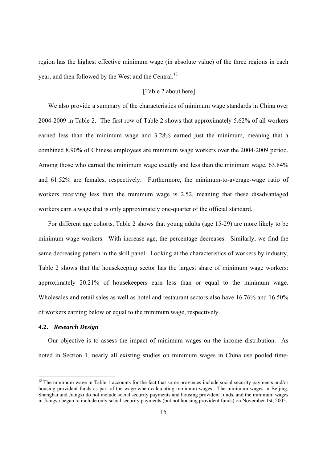region has the highest effective minimum wage (in absolute value) of the three regions in each year, and then followed by the West and the Central.<sup>13</sup>

## [Table 2 about here]

We also provide a summary of the characteristics of minimum wage standards in China over 2004-2009 in Table 2. The first row of Table 2 shows that approximately 5.62% of all workers earned less than the minimum wage and 3.28% earned just the minimum, meaning that a combined 8.90% of Chinese employees are minimum wage workers over the 2004-2009 period. Among those who earned the minimum wage exactly and less than the minimum wage, 63.84% and 61.52% are females, respectively. Furthermore, the minimum-to-average-wage ratio of workers receiving less than the minimum wage is 2.52, meaning that these disadvantaged workers earn a wage that is only approximately one-quarter of the official standard.

For different age cohorts, Table 2 shows that young adults (age 15-29) are more likely to be minimum wage workers. With increase age, the percentage decreases. Similarly, we find the same decreasing pattern in the skill panel. Looking at the characteristics of workers by industry, Table 2 shows that the housekeeping sector has the largest share of minimum wage workers: approximately 20.21% of housekeepers earn less than or equal to the minimum wage. Wholesales and retail sales as well as hotel and restaurant sectors also have 16.76% and 16.50% of workers earning below or equal to the minimum wage, respectively.

#### **4.2.** *Research Design*

-

Our objective is to assess the impact of minimum wages on the income distribution. As noted in Section 1, nearly all existing studies on minimum wages in China use pooled time-

<sup>&</sup>lt;sup>13</sup> The minimum wage in Table 1 accounts for the fact that some provinces include social security payments and/or housing provident funds as part of the wage when calculating minimum wages. The minimum wages in Beijing, Shanghai and Jiangxi do not include social security payments and housing provident funds, and the minimum wages in Jiangsu began to include only social security payments (but not housing provident funds) on November 1st, 2005.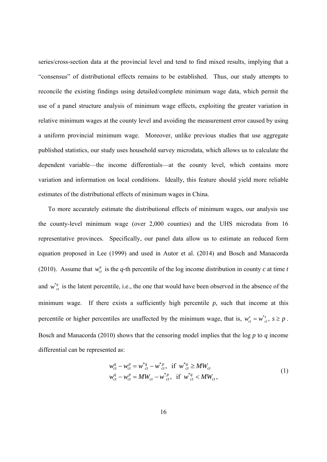series/cross-section data at the provincial level and tend to find mixed results, implying that a "consensus" of distributional effects remains to be established. Thus, our study attempts to reconcile the existing findings using detailed/complete minimum wage data, which permit the use of a panel structure analysis of minimum wage effects, exploiting the greater variation in relative minimum wages at the county level and avoiding the measurement error caused by using a uniform provincial minimum wage. Moreover, unlike previous studies that use aggregate published statistics, our study uses household survey microdata, which allows us to calculate the dependent variable—the income differentials—at the county level, which contains more variation and information on local conditions. Ideally, this feature should yield more reliable estimates of the distributional effects of minimum wages in China.

To more accurately estimate the distributional effects of minimum wages, our analysis use the county-level minimum wage (over 2,000 counties) and the UHS microdata from 16 representative provinces. Specifically, our panel data allow us to estimate an reduced form equation proposed in Lee (1999) and used in Autor et al. (2014) and Bosch and Manacorda (2010). Assume that  $w_{ct}^q$  is the *q*-th percentile of the log income distribution in county *c* at time *t* and  $w_{ct}^{*q}$  is the latent percentile, i.e., the one that would have been observed in the absence of the minimum wage. If there exists a sufficiently high percentile  $p$ , such that income at this percentile or higher percentiles are unaffected by the minimum wage, that is,  $w_{ct}^s = w_{ct}^s$ ,  $s \ge p$ . Bosch and Manacorda (2010) shows that the censoring model implies that the log *p* to *q* income differential can be represented as:

$$
w_{ct}^{q} - w_{ct}^{p} = w_{ct}^{*q} - w_{ct}^{*p}, \text{ if } w_{ct}^{*q} \ge MW_{ct} w_{ct}^{q} - w_{ct}^{p} = MW_{ct} - w_{ct}^{*p}, \text{ if } w_{ct}^{*q} < MW_{ct}, \tag{1}
$$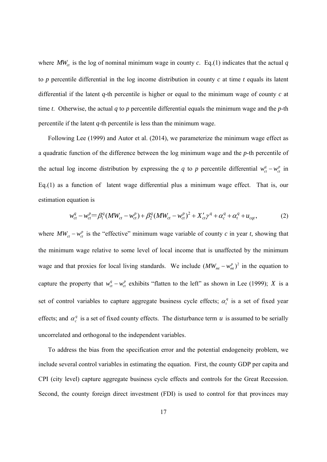where  $MW_{ct}$  is the log of nominal minimum wage in county  $c$ . Eq.(1) indicates that the actual  $q$ to *p* percentile differential in the log income distribution in county *c* at time *t* equals its latent differential if the latent *q*-th percentile is higher or equal to the minimum wage of county *c* at time *t*. Otherwise, the actual *q* to *p* percentile differential equals the minimum wage and the *p*-th percentile if the latent *q*-th percentile is less than the minimum wage.

Following Lee (1999) and Autor et al. (2014), we parameterize the minimum wage effect as a quadratic function of the difference between the log minimum wage and the *p*-th percentile of the actual log income distribution by expressing the *q* to *p* percentile differential  $w_{ct}^q - w_{ct}^p$  in Eq.(1) as a function of latent wage differential plus a minimum wage effect. That is, our estimation equation is

$$
w_{ct}^{q} - w_{ct}^{p} = \beta_{1}^{q} (MW_{ct} - w_{ct}^{p}) + \beta_{2}^{q} (MW_{ct} - w_{ct}^{p})^{2} + X_{ct}' \gamma^{q} + \alpha_{c}^{q} + \alpha_{t}^{q} + u_{cqt},
$$
 (2)

where  $MW_{ct} - w_{ct}^p$  is the "effective" minimum wage variable of county *c* in year *t*, showing that the minimum wage relative to some level of local income that is unaffected by the minimum wage and that proxies for local living standards. We include  $(MW_{mt} - w_{mt}^p)^2$  in the equation to capture the property that  $w_{ct}^q - w_{ct}^p$  exhibits "flatten to the left" as shown in Lee (1999); *X* is a set of control variables to capture aggregate business cycle effects;  $\alpha_t^q$  is a set of fixed year effects; and  $\alpha_c^q$  is a set of fixed county effects. The disturbance term *u* is assumed to be serially uncorrelated and orthogonal to the independent variables.

To address the bias from the specification error and the potential endogeneity problem, we include several control variables in estimating the equation. First, the county GDP per capita and CPI (city level) capture aggregate business cycle effects and controls for the Great Recession. Second, the county foreign direct investment (FDI) is used to control for that provinces may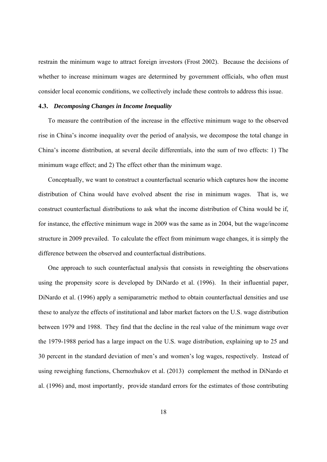restrain the minimum wage to attract foreign investors (Frost 2002). Because the decisions of whether to increase minimum wages are determined by government officials, who often must consider local economic conditions, we collectively include these controls to address this issue.

#### **4.3.** *Decomposing Changes in Income Inequality*

To measure the contribution of the increase in the effective minimum wage to the observed rise in China's income inequality over the period of analysis, we decompose the total change in China's income distribution, at several decile differentials, into the sum of two effects: 1) The minimum wage effect; and 2) The effect other than the minimum wage.

Conceptually, we want to construct a counterfactual scenario which captures how the income distribution of China would have evolved absent the rise in minimum wages. That is, we construct counterfactual distributions to ask what the income distribution of China would be if, for instance, the effective minimum wage in 2009 was the same as in 2004, but the wage/income structure in 2009 prevailed. To calculate the effect from minimum wage changes, it is simply the difference between the observed and counterfactual distributions.

One approach to such counterfactual analysis that consists in reweighting the observations using the propensity score is developed by DiNardo et al. (1996). In their influential paper, DiNardo et al. (1996) apply a semiparametric method to obtain counterfactual densities and use these to analyze the effects of institutional and labor market factors on the U.S. wage distribution between 1979 and 1988. They find that the decline in the real value of the minimum wage over the 1979-1988 period has a large impact on the U.S. wage distribution, explaining up to 25 and 30 percent in the standard deviation of men's and women's log wages, respectively. Instead of using reweighing functions, Chernozhukov et al. (2013) complement the method in DiNardo et al. (1996) and, most importantly, provide standard errors for the estimates of those contributing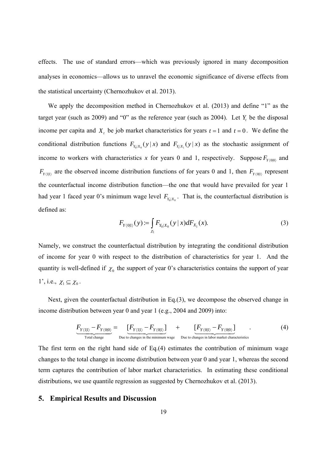effects. The use of standard errors—which was previously ignored in many decomposition analyses in economics—allows us to unravel the economic significance of diverse effects from the statistical uncertainty (Chernozhukov et al. 2013).

We apply the decomposition method in Chernozhukov et al. (2013) and define "1" as the target year (such as  $2009$ ) and "0" as the reference year (such as  $2004$ ). Let *Y*, be the disposal income per capita and  $X_t$ , be job market characteristics for years  $t = 1$  and  $t = 0$ . We define the conditional distribution functions  $F_{Y_0|X_0}(y|x)$  and  $F_{Y_0|X_1}(y|x)$  as the stochastic assignment of income to workers with characteristics x for years 0 and 1, respectively. Suppose  $F_{Y(0|0)}$  and  $F_{Y(1|1)}$  are the observed income distribution functions of for years 0 and 1, then  $F_{Y(0|1)}$  represent the counterfactual income distribution function—the one that would have prevailed for year 1 had year 1 faced year 0's minimum wage level  $F_{Y_0|X_0}$ . That is, the counterfactual distribution is defined as:

$$
F_{Y(0|1)}(y) := \int_{\chi_1} F_{Y_0|X_0}(y \mid x) dF_{X_1}(x).
$$
 (3)

Namely, we construct the counterfactual distribution by integrating the conditional distribution of income for year 0 with respect to the distribution of characteristics for year 1. And the quantity is well-defined if  $\chi_0$  the support of year 0's characteristics contains the support of year 1', i.e.,  $\chi_1 \subseteq \chi_0$ .

Next, given the counterfactual distribution in Eq.(3), we decompose the observed change in income distribution between year 0 and year 1 (e.g., 2004 and 2009) into:

$$
\underbrace{F_{Y(1|1)} - F_{Y(0|0)}}_{\text{Total change}} = \underbrace{[F_{Y(1|1)} - F_{Y(0|1)}]}_{\text{Due to changes in the minimum wage}} + \underbrace{[F_{Y(0|1)} - F_{Y(0|0)}]}_{\text{Due to changes in labor market characteristics}}
$$
\n
$$
(4)
$$

The first term on the right hand side of Eq.(4) estimates the contribution of minimum wage changes to the total change in income distribution between year 0 and year 1, whereas the second term captures the contribution of labor market characteristics. In estimating these conditional distributions, we use quantile regression as suggested by Chernozhukov et al. (2013).

## **5. Empirical Results and Discussion**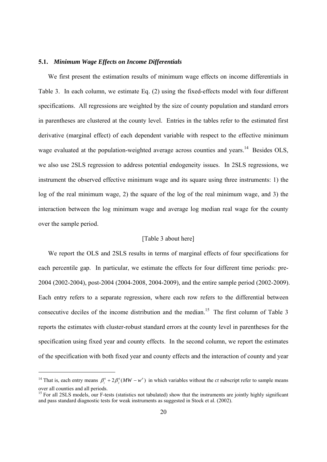#### **5.1.** *Minimum Wage Effects on Income Differentials*

We first present the estimation results of minimum wage effects on income differentials in Table 3. In each column, we estimate Eq. (2) using the fixed-effects model with four different specifications. All regressions are weighted by the size of county population and standard errors in parentheses are clustered at the county level. Entries in the tables refer to the estimated first derivative (marginal effect) of each dependent variable with respect to the effective minimum wage evaluated at the population-weighted average across counties and years.<sup>14</sup> Besides OLS, we also use 2SLS regression to address potential endogeneity issues. In 2SLS regressions, we instrument the observed effective minimum wage and its square using three instruments: 1) the log of the real minimum wage, 2) the square of the log of the real minimum wage, and 3) the interaction between the log minimum wage and average log median real wage for the county over the sample period.

### [Table 3 about here]

We report the OLS and 2SLS results in terms of marginal effects of four specifications for each percentile gap. In particular, we estimate the effects for four different time periods: pre-2004 (2002-2004), post-2004 (2004-2008, 2004-2009), and the entire sample period (2002-2009). Each entry refers to a separate regression, where each row refers to the differential between consecutive deciles of the income distribution and the median.<sup>15</sup> The first column of Table 3 reports the estimates with cluster-robust standard errors at the county level in parentheses for the specification using fixed year and county effects. In the second column, we report the estimates of the specification with both fixed year and county effects and the interaction of county and year

1

<sup>&</sup>lt;sup>14</sup> That is, each entry means  $\beta_1^q + 2\beta_2^q (MW - w^p)$  in which variables without the *ct* subscript refer to sample means over all counties and all periods.

<sup>&</sup>lt;sup>15</sup> For all 2SLS models, our F-tests (statistics not tabulated) show that the instruments are jointly highly significant and pass standard diagnostic tests for weak instruments as suggested in Stock et al. (2002).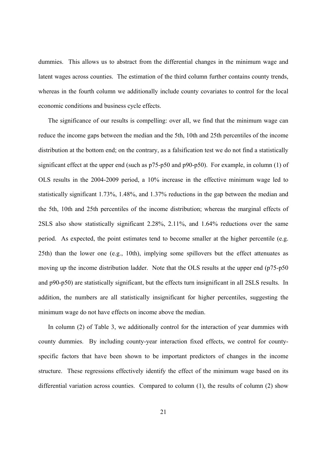dummies. This allows us to abstract from the differential changes in the minimum wage and latent wages across counties. The estimation of the third column further contains county trends, whereas in the fourth column we additionally include county covariates to control for the local economic conditions and business cycle effects.

The significance of our results is compelling: over all, we find that the minimum wage can reduce the income gaps between the median and the 5th, 10th and 25th percentiles of the income distribution at the bottom end; on the contrary, as a falsification test we do not find a statistically significant effect at the upper end (such as p75-p50 and p90-p50). For example, in column (1) of OLS results in the 2004-2009 period, a 10% increase in the effective minimum wage led to statistically significant 1.73%, 1.48%, and 1.37% reductions in the gap between the median and the 5th, 10th and 25th percentiles of the income distribution; whereas the marginal effects of 2SLS also show statistically significant 2.28%, 2.11%, and 1.64% reductions over the same period. As expected, the point estimates tend to become smaller at the higher percentile (e.g. 25th) than the lower one (e.g., 10th), implying some spillovers but the effect attenuates as moving up the income distribution ladder. Note that the OLS results at the upper end (p75-p50) and p90-p50) are statistically significant, but the effects turn insignificant in all 2SLS results. In addition, the numbers are all statistically insignificant for higher percentiles, suggesting the minimum wage do not have effects on income above the median.

In column (2) of Table 3, we additionally control for the interaction of year dummies with county dummies. By including county-year interaction fixed effects, we control for countyspecific factors that have been shown to be important predictors of changes in the income structure. These regressions effectively identify the effect of the minimum wage based on its differential variation across counties. Compared to column (1), the results of column (2) show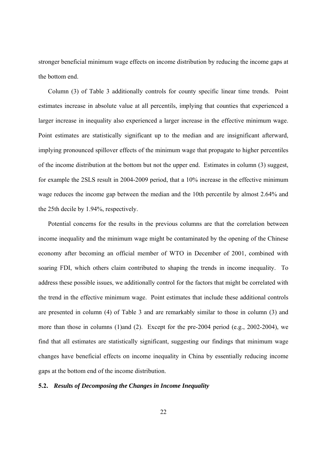stronger beneficial minimum wage effects on income distribution by reducing the income gaps at the bottom end.

Column (3) of Table 3 additionally controls for county specific linear time trends. Point estimates increase in absolute value at all percentils, implying that counties that experienced a larger increase in inequality also experienced a larger increase in the effective minimum wage. Point estimates are statistically significant up to the median and are insignificant afterward, implying pronounced spillover effects of the minimum wage that propagate to higher percentiles of the income distribution at the bottom but not the upper end. Estimates in column (3) suggest, for example the 2SLS result in 2004-2009 period, that a 10% increase in the effective minimum wage reduces the income gap between the median and the 10th percentile by almost 2.64% and the 25th decile by 1.94%, respectively.

Potential concerns for the results in the previous columns are that the correlation between income inequality and the minimum wage might be contaminated by the opening of the Chinese economy after becoming an official member of WTO in December of 2001, combined with soaring FDI, which others claim contributed to shaping the trends in income inequality. To address these possible issues, we additionally control for the factors that might be correlated with the trend in the effective minimum wage. Point estimates that include these additional controls are presented in column (4) of Table 3 and are remarkably similar to those in column (3) and more than those in columns (1)and (2). Except for the pre-2004 period (e.g., 2002-2004), we find that all estimates are statistically significant, suggesting our findings that minimum wage changes have beneficial effects on income inequality in China by essentially reducing income gaps at the bottom end of the income distribution.

#### **5.2.** *Results of Decomposing the Changes in Income Inequality*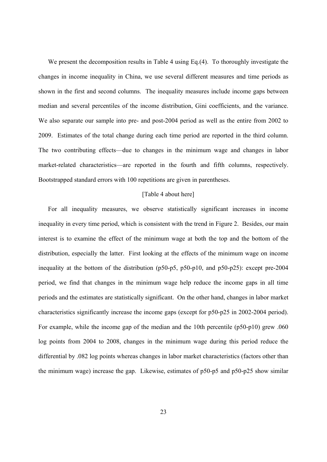We present the decomposition results in Table 4 using Eq.(4). To thoroughly investigate the changes in income inequality in China, we use several different measures and time periods as shown in the first and second columns. The inequality measures include income gaps between median and several percentiles of the income distribution, Gini coefficients, and the variance. We also separate our sample into pre- and post-2004 period as well as the entire from 2002 to 2009. Estimates of the total change during each time period are reported in the third column. The two contributing effects—due to changes in the minimum wage and changes in labor market-related characteristics—are reported in the fourth and fifth columns, respectively. Bootstrapped standard errors with 100 repetitions are given in parentheses.

#### [Table 4 about here]

For all inequality measures, we observe statistically significant increases in income inequality in every time period, which is consistent with the trend in Figure 2. Besides, our main interest is to examine the effect of the minimum wage at both the top and the bottom of the distribution, especially the latter. First looking at the effects of the minimum wage on income inequality at the bottom of the distribution (p50-p5, p50-p10, and p50-p25): except pre-2004 period, we find that changes in the minimum wage help reduce the income gaps in all time periods and the estimates are statistically significant. On the other hand, changes in labor market characteristics significantly increase the income gaps (except for p50-p25 in 2002-2004 period). For example, while the income gap of the median and the 10th percentile (p50-p10) grew .060 log points from 2004 to 2008, changes in the minimum wage during this period reduce the differential by .082 log points whereas changes in labor market characteristics (factors other than the minimum wage) increase the gap. Likewise, estimates of p50-p5 and p50-p25 show similar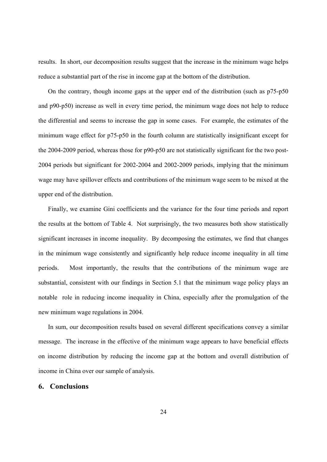results. In short, our decomposition results suggest that the increase in the minimum wage helps reduce a substantial part of the rise in income gap at the bottom of the distribution.

On the contrary, though income gaps at the upper end of the distribution (such as p75-p50 and p90-p50) increase as well in every time period, the minimum wage does not help to reduce the differential and seems to increase the gap in some cases. For example, the estimates of the minimum wage effect for p75-p50 in the fourth column are statistically insignificant except for the 2004-2009 period, whereas those for p90-p50 are not statistically significant for the two post-2004 periods but significant for 2002-2004 and 2002-2009 periods, implying that the minimum wage may have spillover effects and contributions of the minimum wage seem to be mixed at the upper end of the distribution.

Finally, we examine Gini coefficients and the variance for the four time periods and report the results at the bottom of Table 4. Not surprisingly, the two measures both show statistically significant increases in income inequality. By decomposing the estimates, we find that changes in the minimum wage consistently and significantly help reduce income inequality in all time periods. Most importantly, the results that the contributions of the minimum wage are substantial, consistent with our findings in Section 5.1 that the minimum wage policy plays an notable role in reducing income inequality in China, especially after the promulgation of the new minimum wage regulations in 2004.

In sum, our decomposition results based on several different specifications convey a similar message. The increase in the effective of the minimum wage appears to have beneficial effects on income distribution by reducing the income gap at the bottom and overall distribution of income in China over our sample of analysis.

## **6. Conclusions**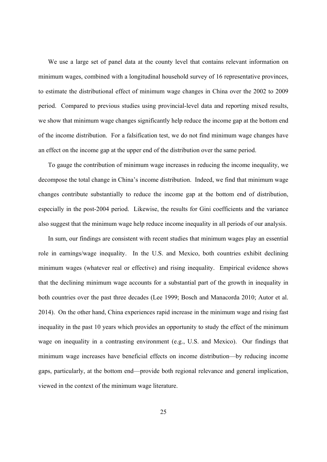We use a large set of panel data at the county level that contains relevant information on minimum wages, combined with a longitudinal household survey of 16 representative provinces, to estimate the distributional effect of minimum wage changes in China over the 2002 to 2009 period. Compared to previous studies using provincial-level data and reporting mixed results, we show that minimum wage changes significantly help reduce the income gap at the bottom end of the income distribution. For a falsification test, we do not find minimum wage changes have an effect on the income gap at the upper end of the distribution over the same period.

To gauge the contribution of minimum wage increases in reducing the income inequality, we decompose the total change in China's income distribution. Indeed, we find that minimum wage changes contribute substantially to reduce the income gap at the bottom end of distribution, especially in the post-2004 period. Likewise, the results for Gini coefficients and the variance also suggest that the minimum wage help reduce income inequality in all periods of our analysis.

In sum, our findings are consistent with recent studies that minimum wages play an essential role in earnings/wage inequality. In the U.S. and Mexico, both countries exhibit declining minimum wages (whatever real or effective) and rising inequality. Empirical evidence shows that the declining minimum wage accounts for a substantial part of the growth in inequality in both countries over the past three decades (Lee 1999; Bosch and Manacorda 2010; Autor et al. 2014). On the other hand, China experiences rapid increase in the minimum wage and rising fast inequality in the past 10 years which provides an opportunity to study the effect of the minimum wage on inequality in a contrasting environment (e.g., U.S. and Mexico). Our findings that minimum wage increases have beneficial effects on income distribution—by reducing income gaps, particularly, at the bottom end—provide both regional relevance and general implication, viewed in the context of the minimum wage literature.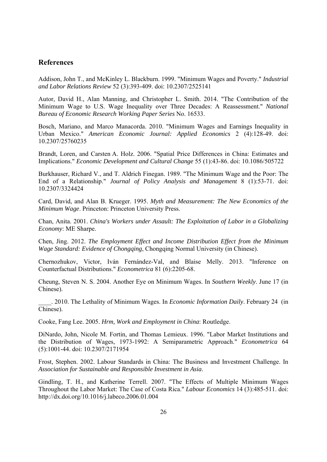# **References**

Addison, John T., and McKinley L. Blackburn. 1999. "Minimum Wages and Poverty." *Industrial and Labor Relations Review* 52 (3):393-409. doi: 10.2307/2525141

Autor, David H., Alan Manning, and Christopher L. Smith. 2014. "The Contribution of the Minimum Wage to U.S. Wage Inequality over Three Decades: A Reassessment." *National Bureau of Economic Research Working Paper Series* No. 16533.

Bosch, Mariano, and Marco Manacorda. 2010. "Minimum Wages and Earnings Inequality in Urban Mexico." *American Economic Journal: Applied Economics* 2 (4):128-49. doi: 10.2307/25760235

Brandt, Loren, and Carsten A. Holz. 2006. "Spatial Price Differences in China: Estimates and Implications." *Economic Development and Cultural Change* 55 (1):43-86. doi: 10.1086/505722

Burkhauser, Richard V., and T. Aldrich Finegan. 1989. "The Minimum Wage and the Poor: The End of a Relationship." *Journal of Policy Analysis and Management* 8 (1):53-71. doi: 10.2307/3324424

Card, David, and Alan B. Krueger. 1995. *Myth and Measurement: The New Economics of the Minimum Wage*. Princeton: Princeton University Press.

Chan, Anita. 2001. *China's Workers under Assault: The Exploitation of Labor in a Globalizing Economy*: ME Sharpe.

Chen, Jing. 2012. *The Employment Effect and Income Distribution Effect from the Minimum Wage Standard: Evidence of Chongqing*, Chongqing Normal University (in Chinese).

Chernozhukov, Victor, Iván Fernández-Val, and Blaise Melly. 2013. "Inference on Counterfactual Distributions." *Econometrica* 81 (6):2205-68.

Cheung, Steven N. S. 2004. Another Eye on Minimum Wages. In *Southern Weekly*. June 17 (in Chinese).

\_\_\_\_. 2010. The Lethality of Minimum Wages. In *Economic Information Daily*. February 24 (in Chinese).

Cooke, Fang Lee. 2005. *Hrm, Work and Employment in China*: Routledge.

DiNardo, John, Nicole M. Fortin, and Thomas Lemieux. 1996. "Labor Market Institutions and the Distribution of Wages, 1973-1992: A Semiparametric Approach." *Econometrica* 64 (5):1001-44. doi: 10.2307/2171954

Frost, Stephen. 2002. Labour Standards in China: The Business and Investment Challenge. In *Association for Sustainable and Responsible Investment in Asia*.

Gindling, T. H., and Katherine Terrell. 2007. "The Effects of Multiple Minimum Wages Throughout the Labor Market: The Case of Costa Rica." *Labour Economics* 14 (3):485-511. doi: http://dx.doi.org/10.1016/j.labeco.2006.01.004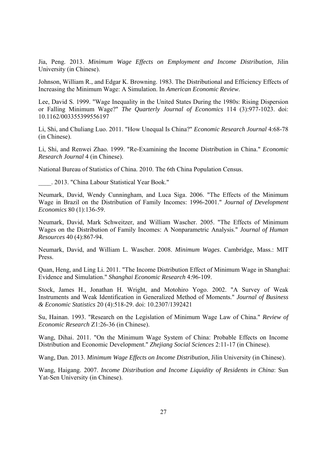Jia, Peng. 2013. *Minimum Wage Effects on Employment and Income Distribution*, Jilin University (in Chinese).

Johnson, William R., and Edgar K. Browning. 1983. The Distributional and Efficiency Effects of Increasing the Minimum Wage: A Simulation. In *American Economic Review*.

Lee, David S. 1999. "Wage Inequality in the United States During the 1980s: Rising Dispersion or Falling Minimum Wage?" *The Quarterly Journal of Economics* 114 (3):977-1023. doi: 10.1162/003355399556197

Li, Shi, and Chuliang Luo. 2011. "How Unequal Is China?" *Economic Research Journal* 4:68-78 (in Chinese).

Li, Shi, and Renwei Zhao. 1999. "Re-Examining the Income Distribution in China." *Economic Research Journal* 4 (in Chinese).

National Bureau of Statistics of China. 2010. The 6th China Population Census.

\_\_\_\_. 2013. "China Labour Statistical Year Book."

Neumark, David, Wendy Cunningham, and Luca Siga. 2006. "The Effects of the Minimum Wage in Brazil on the Distribution of Family Incomes: 1996-2001." *Journal of Development Economics* 80 (1):136-59.

Neumark, David, Mark Schweitzer, and William Wascher. 2005. "The Effects of Minimum Wages on the Distribution of Family Incomes: A Nonparametric Analysis." *Journal of Human Resources* 40 (4):867-94.

Neumark, David, and William L. Wascher. 2008. *Minimum Wages*. Cambridge, Mass.: MIT Press.

Quan, Heng, and Ling Li. 2011. "The Income Distribution Effect of Minimum Wage in Shanghai: Evidence and Simulation." *Shanghai Economic Research* 4:96-109.

Stock, James H., Jonathan H. Wright, and Motohiro Yogo. 2002. "A Survey of Weak Instruments and Weak Identification in Generalized Method of Moments." *Journal of Business & Economic Statistics* 20 (4):518-29. doi: 10.2307/1392421

Su, Hainan. 1993. "Research on the Legislation of Minimum Wage Law of China." *Review of Economic Research* Z1:26-36 (in Chinese).

Wang, Dihai. 2011. "On the Minimum Wage System of China: Probable Effects on Income Distribution and Economic Development." *Zhejiang Social Sciences* 2:11-17 (in Chinese).

Wang, Dan. 2013. *Minimum Wage Effects on Income Distribution*, Jilin University (in Chinese).

Wang, Haigang. 2007. *Income Distribution and Income Liquidity of Residents in China*: Sun Yat-Sen University (in Chinese).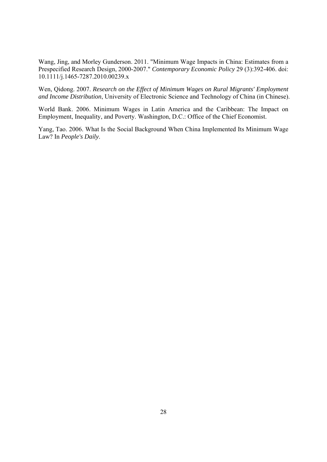Wang, Jing, and Morley Gunderson. 2011. "Minimum Wage Impacts in China: Estimates from a Prespecified Research Design, 2000-2007." *Contemporary Economic Policy* 29 (3):392-406. doi: 10.1111/j.1465-7287.2010.00239.x

Wen, Qidong. 2007. *Research on the Effect of Minimum Wages on Rural Migrants' Employment and Income Distribution*, University of Electronic Science and Technology of China (in Chinese).

World Bank. 2006. Minimum Wages in Latin America and the Caribbean: The Impact on Employment, Inequality, and Poverty. Washington, D.C.: Office of the Chief Economist.

Yang, Tao. 2006. What Is the Social Background When China Implemented Its Minimum Wage Law? In *People's Daily*.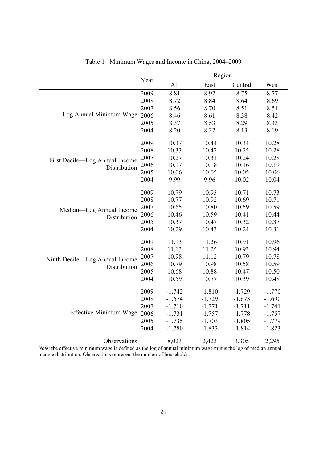|                                |      | Region   |          |          |          |  |
|--------------------------------|------|----------|----------|----------|----------|--|
|                                | Year | All      | East     | Central  | West     |  |
|                                | 2009 | 8.81     | 8.92     | 8.75     | 8.77     |  |
|                                | 2008 | 8.72     | 8.84     | 8.64     | 8.69     |  |
|                                | 2007 | 8.56     | 8.70     | 8.51     | 8.51     |  |
| Log Annual Minimum Wage        | 2006 | 8.46     | 8.61     | 8.38     | 8.42     |  |
|                                | 2005 | 8.37     | 8.53     | 8.29     | 8.33     |  |
|                                | 2004 | 8.20     | 8.32     | 8.13     | 8.19     |  |
|                                | 2009 | 10.37    | 10.44    | 10.34    | 10.28    |  |
|                                | 2008 | 10.33    | 10.42    | 10.25    | 10.28    |  |
| First Decile—Log Annual Income | 2007 | 10.27    | 10.31    | 10.24    | 10.28    |  |
| Distribution                   | 2006 | 10.17    | 10.18    | 10.16    | 10.19    |  |
|                                | 2005 | 10.06    | 10.05    | 10.05    | 10.06    |  |
|                                | 2004 | 9.99     | 9.96     | 10.02    | 10.04    |  |
|                                | 2009 | 10.79    | 10.95    | 10.71    | 10.73    |  |
|                                | 2008 | 10.77    | 10.92    | 10.69    | 10.71    |  |
| Median-Log Annual Income       | 2007 | 10.65    | 10.80    | 10.59    | 10.59    |  |
| Distribution                   | 2006 | 10.46    | 10.59    | 10.41    | 10.44    |  |
|                                | 2005 | 10.37    | 10.47    | 10.32    | 10.37    |  |
|                                | 2004 | 10.29    | 10.43    | 10.24    | 10.31    |  |
|                                | 2009 | 11.13    | 11.26    | 10.91    | 10.96    |  |
|                                | 2008 | 11.13    | 11.25    | 10.93    | 10.94    |  |
| Ninth Decile-Log Annual Income | 2007 | 10.98    | 11.12    | 10.79    | 10.78    |  |
| Distribution                   | 2006 | 10.79    | 10.98    | 10.58    | 10.59    |  |
|                                | 2005 | 10.68    | 10.88    | 10.47    | 10.50    |  |
|                                | 2004 | 10.59    | 10.77    | 10.39    | 10.48    |  |
|                                | 2009 | $-1.742$ | $-1.810$ | $-1.729$ | $-1.770$ |  |
|                                | 2008 | $-1.674$ | $-1.729$ | $-1.673$ | $-1.690$ |  |
|                                | 2007 | $-1.710$ | $-1.771$ | $-1.711$ | $-1.741$ |  |
| Effective Minimum Wage         | 2006 | $-1.731$ | $-1.757$ | $-1.778$ | $-1.757$ |  |
|                                | 2005 | $-1.735$ | $-1.703$ | $-1.805$ | $-1.779$ |  |
|                                | 2004 | $-1.780$ | $-1.833$ | $-1.814$ | $-1.823$ |  |
| Observations                   |      | 8,023    | 2,423    | 3,305    | 2,295    |  |

|  |  |  |  |  | Table 1 Minimum Wages and Income in China, 2004–2009 |
|--|--|--|--|--|------------------------------------------------------|
|--|--|--|--|--|------------------------------------------------------|

*Note*: the effective minimum wage is defined as the log of annual minimum wage minus the log of median annual income distribution. Observations represent the number of households.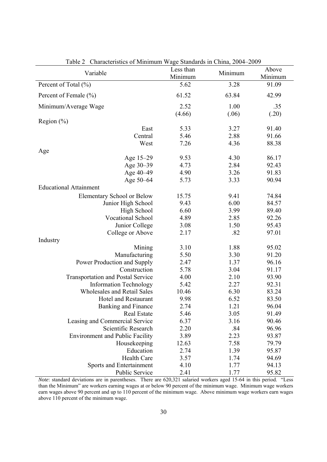| Characteristics of Minimiam $w$ age Standards in China, 2004 2007<br>Variable | Less than<br>Minimum | Minimum | Above<br>Minimum |
|-------------------------------------------------------------------------------|----------------------|---------|------------------|
| Percent of Total (%)                                                          | 5.62                 | 3.28    | 91.09            |
| Percent of Female (%)                                                         | 61.52                | 63.84   | 42.99            |
| Minimum/Average Wage                                                          | 2.52                 | 1.00    | .35              |
|                                                                               | (4.66)               | (.06)   | (.20)            |
| Region $(\% )$                                                                |                      |         |                  |
| East                                                                          | 5.33                 | 3.27    | 91.40            |
| Central                                                                       | 5.46                 | 2.88    | 91.66            |
| West                                                                          | 7.26                 | 4.36    | 88.38            |
| Age                                                                           |                      |         |                  |
| Age 15-29                                                                     | 9.53                 | 4.30    | 86.17            |
| Age 30-39                                                                     | 4.73                 | 2.84    | 92.43            |
| Age 40-49                                                                     | 4.90                 | 3.26    | 91.83            |
| Age 50-64                                                                     | 5.73                 | 3.33    | 90.94            |
| <b>Educational Attainment</b>                                                 |                      |         |                  |
| Elementary School or Below                                                    | 15.75                | 9.41    | 74.84            |
| Junior High School                                                            | 9.43                 | 6.00    | 84.57            |
| High School                                                                   | 6.60                 | 3.99    | 89.40            |
| <b>Vocational School</b>                                                      | 4.89                 | 2.85    | 92.26            |
| Junior College                                                                | 3.08                 | 1.50    | 95.43            |
| College or Above                                                              | 2.17                 | .82     | 97.01            |
| Industry                                                                      |                      |         |                  |
| Mining                                                                        | 3.10                 | 1.88    | 95.02            |
| Manufacturing                                                                 | 5.50                 | 3.30    | 91.20            |
| Power Production and Supply                                                   | 2.47                 | 1.37    | 96.16            |
| Construction                                                                  | 5.78                 | 3.04    | 91.17            |
| <b>Transportation and Postal Service</b>                                      | 4.00                 | 2.10    | 93.90            |
| <b>Information Technology</b>                                                 | 5.42                 | 2.27    | 92.31            |
| <b>Wholesales and Retail Sales</b>                                            | 10.46                | 6.30    | 83.24            |
| Hotel and Restaurant                                                          | 9.98                 | 6.52    | 83.50            |
| Banking and Finance                                                           | 2.74                 | 1.21    | 96.04            |
| <b>Real Estate</b>                                                            | 5.46                 | 3.05    | 91.49            |
| Leasing and Commercial Service                                                | 6.37                 | 3.16    | 90.46            |
| Scientific Research                                                           | 2.20                 | .84     | 96.96            |
| <b>Environment and Public Facility</b>                                        | 3.89                 | 2.23    | 93.87            |
| Housekeeping                                                                  | 12.63                | 7.58    | 79.79            |
| Education                                                                     | 2.74                 | 1.39    | 95.87            |
| Health Care                                                                   | 3.57                 | 1.74    | 94.69            |
| Sports and Entertainment                                                      | 4.10                 | 1.77    | 94.13            |
| Public Service                                                                | 2.41                 | 1.77    | 95.82            |

Table 2 Characteristics of Minimum Wage Standards in China, 2004–2009

*Note*: standard deviations are in parentheses. There are 620,321 salaried workers aged 15-64 in this period. "Less than the Minimum" are workers earning wages at or below 90 percent of the minimum wage. Minimum wage workers earn wages above 90 percent and up to 110 percent of the minimum wage. Above minimum wage workers earn wages above 110 percent of the minimum wage.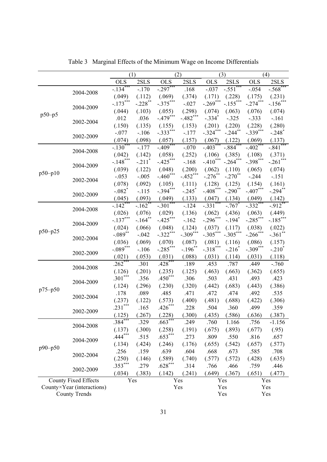|                             |           | (1)<br>(2)           |                       |             | (3)                   |                      | (4)                  |                       |                      |
|-----------------------------|-----------|----------------------|-----------------------|-------------|-----------------------|----------------------|----------------------|-----------------------|----------------------|
|                             |           | OLS                  | 2SLS                  | OLS         | 2SLS                  | <b>OLS</b>           | 2SLS                 | <b>OLS</b>            | 2SLS                 |
|                             |           | $-.134***$           | $-.170$               | $-.297***$  | .168                  | $-.037$              | $-.551$ ***          | $-.054$               | $-.568$ ***          |
|                             | 2004-2008 | (.049)               | (.112)                | (.069)      | (.374)                | (.171)               | (.228)               | (.175)                | (.231)               |
|                             |           | $-.173***$           | $-.228$ <sup>**</sup> | $-.375***$  | $-.027$               | $-.269***$           | $-.155***$           | $-.274***$            | $-.156***$           |
|                             | 2004-2009 | (.044)               | (.103)                | (.055)      | (.298)                | (.074)               | (.063)               | (.076)                | (.074)               |
| $p50-p5$                    |           | .012                 | .036                  | $-.479***$  | $-.482***$            | $-.334$ <sup>*</sup> | $-.325$              | $-.333$               | $-161$               |
|                             | 2002-2004 | (.150)               | (.135)                | (.155)      | (.153)                | (.201)               | (.220)               | (.228)                | (.280)               |
|                             |           | $-.077$              | $-.106$               | $-.333***$  | $-.177$               | $-.324***$           | $-.244***$           | $-.339***$            | $-.248$ <sup>*</sup> |
|                             | 2002-2009 | (.074)               | (.098)                | (.057)      | (.157)                | (.067)               | (.122)               | (.069)                | (.137)               |
|                             |           | $-.130***$           | $-177$                | $-.409***$  | $-.070$               | $-.403$ **           | $-.884^{**}$         | $-.402$ <sup>**</sup> | $-.841"$             |
|                             | 2004-2008 | (.042)               | (.142)                | (.058)      | (.252)                | (.106)               | (.385)               | (.108)                | (.371)               |
|                             |           | $-.148***$           | $-.211"$              | $-.425***$  | $-.168$               | $-.410***$           | $-.264***$           | $-.398***$            | $-.261$ ***          |
|                             | 2004-2009 | (.039)               | (.122)                | (.048)      | (.200)                | (.062)               | (.110)               | (.065)                | (.074)               |
| $p50 - p10$                 |           | $-.053$              | $-.005$               | $-.460$ *** | $-.452***$            | $-.276$ **           | $-.270$ **           | $-.244$               | $-.151$              |
|                             | 2002-2004 | (.078)               | (.092)                | (.105)      | (.111)                | (.128)               | (.125)               | (.154)                | (.161)               |
|                             |           | $-.082$ <sup>*</sup> | $-.115$               | $-.394***$  | $-.245$ <sup>*</sup>  | $-.408$ ***          | $-.290$ **           | $-.407***$            | $-.294***$           |
|                             | 2002-2009 | (.045)               | (.093)                | (.049)      | (.133)                | (.047)               | (.134)               | (.049)                | (.142)               |
|                             |           | $-.142***$           | $-.162"$              | $-.301$ *** | $-.124$               | $-.331$ **           | $-.767$              | $-.332***$            | $-.912^{**}$         |
|                             | 2004-2008 | (.026)               | (.076)                | (.029)      | (.136)                | (.062)               | (.436)               | (.063)                | (.449)               |
|                             |           | $-.137***$           | $-.164$ **            | $-.425***$  | $-.162$               | $-.296***$           | $-.194$ <sup>*</sup> | $-.285***$            | $-.185***$           |
|                             | 2004-2009 | (.024)               | (.066)                | (.048)      | (.124)                | (.037)               | (.117)               | (.038)                | (.022)               |
| $p50-p25$                   |           | $-.089**$            | $-.042$               | $-.322***$  | $-.309***$            | $-.305***$           | $-.305***$           | $-.266$ ***           | $-.361**$            |
|                             | 2002-2004 | (.036)               | (.069)                | (.070)      | (.087)                | (.081)               | (.116)               | (.086)                | (.157)               |
|                             |           | $-.089***$           | $-.106$               | $-.285***$  | $-.196$ <sup>**</sup> | $-.318***$           | $-.216*$             | $-.309***$            | $-.210^{\degree}$    |
|                             | 2002-2009 | (.021)               | (.053)                | (.031)      | (.088)                | (.031)               | (.114)               | (.031)                | (.118)               |
|                             |           | $.262***$            | .301                  | $.428***$   | .189                  | .453                 | .787                 | .449                  | $-.760$              |
|                             | 2004-2008 | (.126)               | (.201)                | (.235)      | (.125)                | (.463)               | (.663)               | (.362)                | (.655)               |
|                             |           | $.301***$            | .356                  | $.450***$   | .306                  | .503                 | .431                 | .493                  | .423                 |
|                             | 2004-2009 | (.124)               | (.296)                | (.230)      | (.320)                | (.442)               | (.683)               | (.443)                | (.386)               |
| $p75-p50$                   |           | .178                 | .089                  | .485        | .471                  | .472                 | .474                 | .492                  | .535                 |
|                             | 2002-2004 | (.237)               | (.122)                | (.573)      | (.400)                | (.481)               | (.688)               | (.422)                | (.306)               |
|                             |           | .231***              | .165                  | $.426***$   | .228                  | .504                 | .360                 | .499                  | .359                 |
|                             | 2002-2009 | (.125)               | (.267)                | (.228)      | (.300)                | (.435)               | (.586)               | (.636)                | (.387)               |
|                             |           | $.384***$            | .329                  | $.663***$   | .249                  | .760                 | 1.166                | .756                  | $-1.156$             |
|                             | 2004-2008 | (.137)               | (.300)                | (.258)      | (.191)                | (.675)               | (.893)               | (.677)                | (.95)                |
| $p90-p50$                   |           | $.444***$            | .515                  | $.653***$   | .273                  | .809                 | .550                 | .816                  | .657                 |
|                             | 2004-2009 | (.134)               | (.424)                | (.246)      | (.176)                | (.655)               | (.542)               | (.657)                | (.577)               |
|                             |           | .256                 | .159                  | .639        | .604                  | .668                 | .673                 | .585                  | .708                 |
|                             | 2002-2004 | (.250)               | (.146)                | (.589)      | (.740)                | (.577)               | (.572)               | (.428)                | (.635)               |
|                             |           | $.353***$            | .279                  | $.628***$   | .314                  | .766                 | .466                 | .759                  | .446                 |
|                             | 2002-2009 | (.034)               | (.383)                | (.142)      | (.241)                | (.649)               | (.367)               | (.651)                | (.477)               |
| <b>County Fixed Effects</b> |           | Yes                  |                       |             | Yes                   | Yes                  |                      | Yes                   |                      |
| County×Year (interactions)  |           |                      |                       | Yes         |                       |                      | Yes                  |                       | Yes                  |
| <b>County Trends</b>        |           |                      |                       |             |                       |                      | Yes                  |                       | Yes                  |

Table 3 Marginal Effects of the Minimum Wage on Income Differentials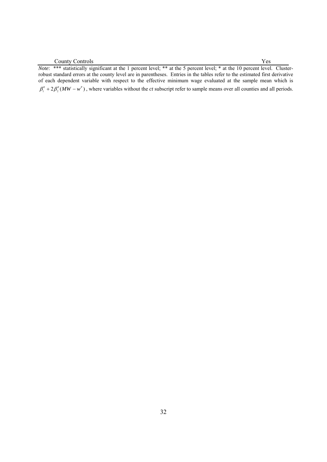*Note*: \*\*\* statistically significant at the 1 percent level; \*\* at the 5 percent level; \* at the 10 percent level. Clusterrobust standard errors at the county level are in parentheses. Entries in the tables refer to the estimated first derivative of each dependent variable with respect to the effective minimum wage evaluated at the sample mean which is  $\beta_1^q + 2\beta_2^q (MW - w^p)$ , where variables without the *ct* subscript refer to sample means over all counties and all periods.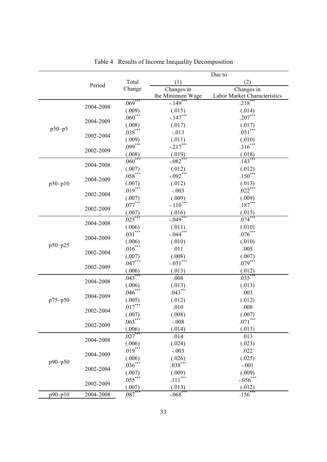|             |           |           | Due to           |                              |  |
|-------------|-----------|-----------|------------------|------------------------------|--|
|             | Period    | Total     | (1)              | (2)                          |  |
|             |           | Change    | Changes in       | Changes in                   |  |
|             |           |           | the Minimum Wage | Labor Market Characteristics |  |
|             | 2004-2008 | $.069***$ | $-149^{***}$     | $.218***$                    |  |
|             |           | (.009)    | (.015)           | (.014)                       |  |
|             | 2004-2009 | $.060***$ | $-.147***$       | $.207***$                    |  |
| $p50-p5$    |           | (.008)    | (.017)           | (.017)                       |  |
|             | 2002-2004 | $.038***$ | $-.013$          | $.051***$                    |  |
|             |           | (.009)    | (.011)           | (.010)                       |  |
|             | 2002-2009 | $.099***$ | $-.217***$       | $.316***$                    |  |
|             |           | (.008)    | (.019)           | (.018)                       |  |
|             | 2004-2008 | $.060***$ | $-.082***$       | $.143***$                    |  |
|             |           | (.007)    | (.012)           | (.012)                       |  |
|             | 2004-2009 | $.058***$ | $-.092***$       | $.150***$                    |  |
| $p50 - p10$ |           | (.007)    | (.012)           | (.013)                       |  |
|             | 2002-2004 | $.019***$ | $-.003$          | $.022***$                    |  |
|             |           | (.007)    | (.009)           | (.009)                       |  |
|             | 2002-2009 | $.077***$ | $-.110***$       | $.187***$                    |  |
|             |           | (.007)    | (.016)           | (.015)                       |  |
|             | 2004-2008 | $.025***$ | $-.049***$       | $.074***$                    |  |
|             |           | (.006)    | (.011)           | (.010)                       |  |
|             | 2004-2009 | $.031***$ | $-.044***$       | $.076***$                    |  |
| $p50-p25$   |           | (.006)    | (.010)           | (.010)                       |  |
|             | 2002-2004 | $.016***$ | .011             | .005                         |  |
|             |           | (.007)    | (.008)           | (.007)                       |  |
|             | 2002-2009 | $.047***$ | $-.031***$       | $.079***$                    |  |
|             |           | (.006)    | (.013)           | (.012)                       |  |
|             | 2004-2008 | $.043***$ | .008             | $.035***$                    |  |
|             |           | (.006)    | (.013)           | (.013)                       |  |
|             | 2004-2009 | $.046***$ | $.043***$        | .003                         |  |
| p75-p50     |           | (.005)    | (.012)           | (.012)                       |  |
|             | 2002-2004 | $.017***$ | .010             | .008                         |  |
|             |           | (.007)    | (.008)           | (.007)                       |  |
|             | 2002-2009 | $.063***$ | $-.008$          | $.071***$                    |  |
|             |           | (.006)    | (.014)           | (.013)                       |  |
| $p90 - p50$ | 2004-2008 | $.027***$ | .014             | .013                         |  |
|             |           | (.006)    | (.024)           | (.023)                       |  |
|             | 2004-2009 | $.019***$ | $-.003$          | .022                         |  |
|             |           | (.006)    | (.026)           | (.025)                       |  |
|             | 2002-2004 | $.036***$ | $.038***$        | $-.001$                      |  |
|             |           | (.007)    | (.009)           | (.009)                       |  |
|             | 2002-2009 | $.055***$ | $.111***$        | $-.056$ <sup>***</sup>       |  |
|             |           | (.007)    | (.013)           | (.012)                       |  |
| p90-p10     | 2004-2008 | $.087***$ | $-.068*$         | $.156^{***}$                 |  |

Table 4 Results of Income Inequality Decomposition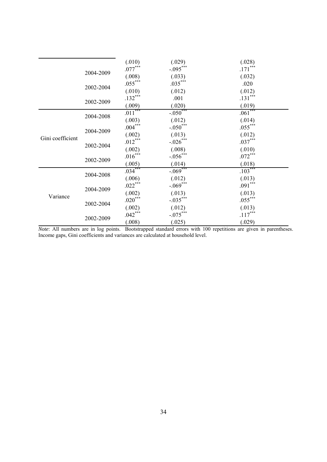|                  |           | (.010)         | (.029)                 | (.028)    |
|------------------|-----------|----------------|------------------------|-----------|
|                  | 2004-2009 | $.077***$      | $-.095***$             | $.171***$ |
|                  |           | (.008)         | (.033)                 | (.032)    |
|                  |           | $.055***$      | $.035***$              | .020      |
|                  | 2002-2004 |                | (.012)                 | (.012)    |
|                  |           | $.132***$      | .001                   | $.131***$ |
|                  | 2002-2009 | (.009)         | (.020)                 | (.019)    |
|                  | 2004-2008 | $.011***$      | $-.050***$             | $.061***$ |
|                  |           | (.003)         | (.012)                 | (.014)    |
|                  | 2004-2009 | $.004\sp{***}$ | $-.050***$             | $.055***$ |
|                  |           | (.002)         | (.013)                 | (.012)    |
| Gini coefficient | 2002-2004 | $.012***$      | $-.026***$             | $.037***$ |
|                  |           | (.002)         | (.008)                 | (.010)    |
|                  | 2002-2009 | $.016***$      | $-.056$ <sup>***</sup> | $.072***$ |
|                  |           | (.005)         | (.014)                 | (.018)    |
| Variance         | 2004-2008 | $.034***$      | $-0.069***$            | $.103***$ |
|                  |           | (.006)         | (.012)                 | (.013)    |
|                  | 2004-2009 | $.022***$      | $-.069***$             | $.091***$ |
|                  |           | (.002)         | (.013)                 | (.013)    |
|                  | 2002-2004 | $.020***$      | $-.035***$             | $.055***$ |
|                  |           | (.002)         | (.012)                 | (.013)    |
|                  | 2002-2009 | $.042***$      | $-.075***$             | $.117***$ |
|                  |           | (.008)         | (.025)                 | (.029)    |

*Note*: All numbers are in log points. Bootstrapped standard errors with 100 repetitions are given in parentheses. Income gaps, Gini coefficients and variances are calculated at household level.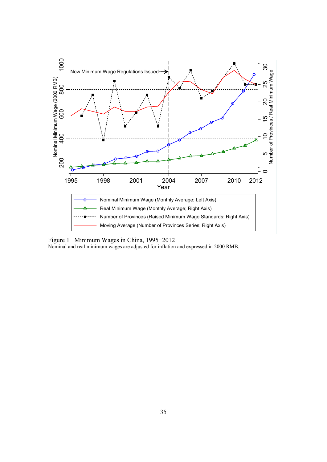

Figure 1 Minimum Wages in China, 1995−2012

Nominal and real minimum wages are adjusted for inflation and expressed in 2000 RMB.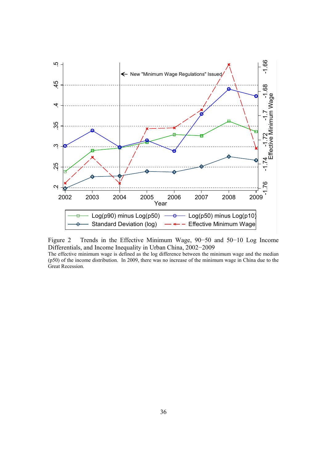



The effective minimum wage is defined as the log difference between the minimum wage and the median (p50) of the income distribution. In 2009, there was no increase of the minimum wage in China due to the Great Recession.